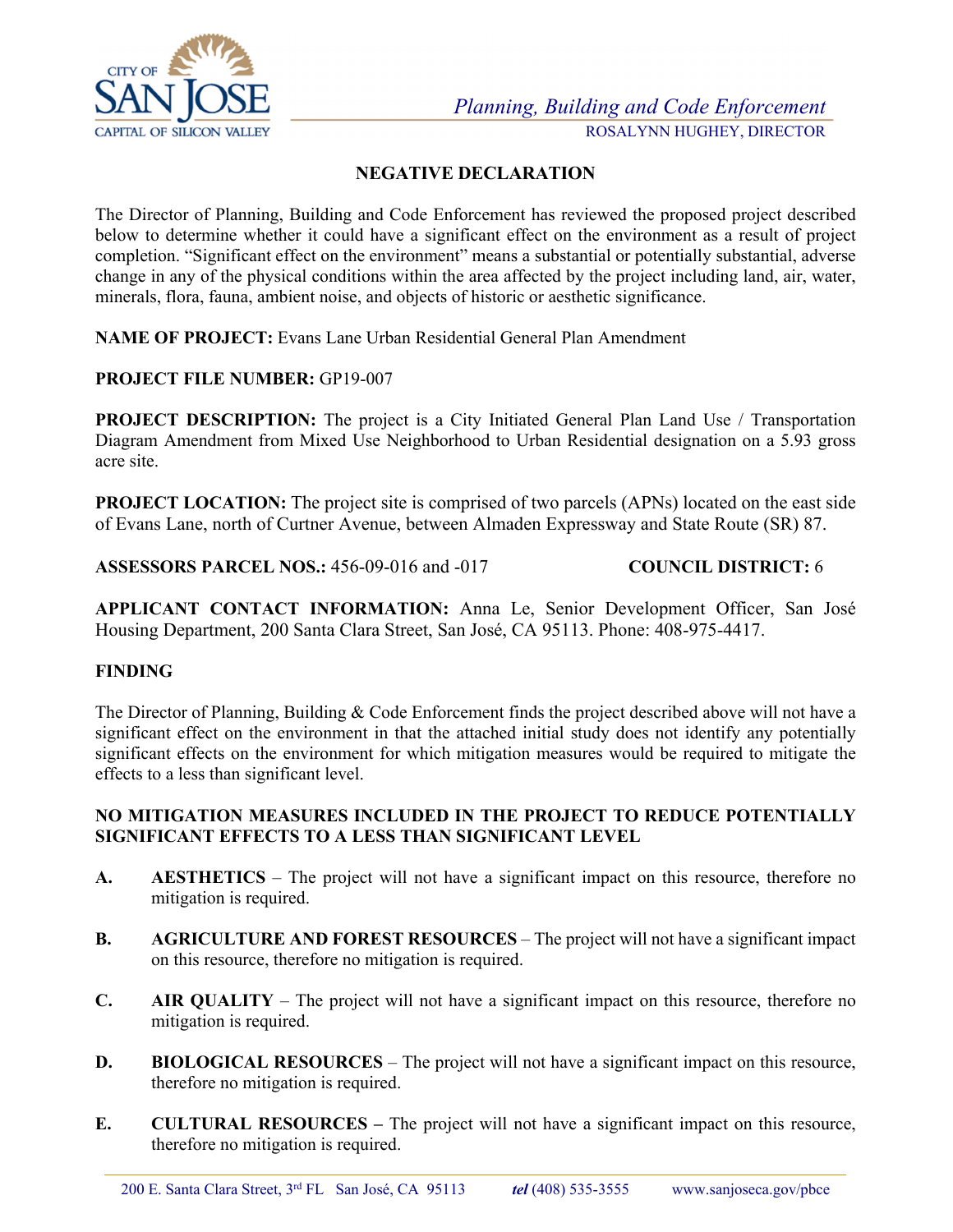

## **NEGATIVE DECLARATION**

The Director of Planning, Building and Code Enforcement has reviewed the proposed project described below to determine whether it could have a significant effect on the environment as a result of project completion. "Significant effect on the environment" means a substantial or potentially substantial, adverse change in any of the physical conditions within the area affected by the project including land, air, water, minerals, flora, fauna, ambient noise, and objects of historic or aesthetic significance.

**NAME OF PROJECT:** Evans Lane Urban Residential General Plan Amendment

## **PROJECT FILE NUMBER:** GP19-007

**PROJECT DESCRIPTION:** The project is a City Initiated General Plan Land Use / Transportation Diagram Amendment from Mixed Use Neighborhood to Urban Residential designation on a 5.93 gross acre site.

**PROJECT LOCATION:** The project site is comprised of two parcels (APNs) located on the east side of Evans Lane, north of Curtner Avenue, between Almaden Expressway and State Route (SR) 87.

**ASSESSORS PARCEL NOS.:** 456-09-016 and -017 **COUNCIL DISTRICT:** 6

**APPLICANT CONTACT INFORMATION:** Anna Le, Senior Development Officer, San José Housing Department, 200 Santa Clara Street, San José, CA 95113. Phone: 408-975-4417.

#### **FINDING**

The Director of Planning, Building & Code Enforcement finds the project described above will not have a significant effect on the environment in that the attached initial study does not identify any potentially significant effects on the environment for which mitigation measures would be required to mitigate the effects to a less than significant level.

## **NO MITIGATION MEASURES INCLUDED IN THE PROJECT TO REDUCE POTENTIALLY SIGNIFICANT EFFECTS TO A LESS THAN SIGNIFICANT LEVEL**

- **A. AESTHETICS**  The project will not have a significant impact on this resource, therefore no mitigation is required.
- **B.** AGRICULTURE AND FOREST RESOURCES The project will not have a significant impact on this resource, therefore no mitigation is required.
- **C. AIR QUALITY**  The project will not have a significant impact on this resource, therefore no mitigation is required.
- **D.** BIOLOGICAL RESOURCES The project will not have a significant impact on this resource, therefore no mitigation is required.
- **E. CULTURAL RESOURCES** The project will not have a significant impact on this resource, therefore no mitigation is required.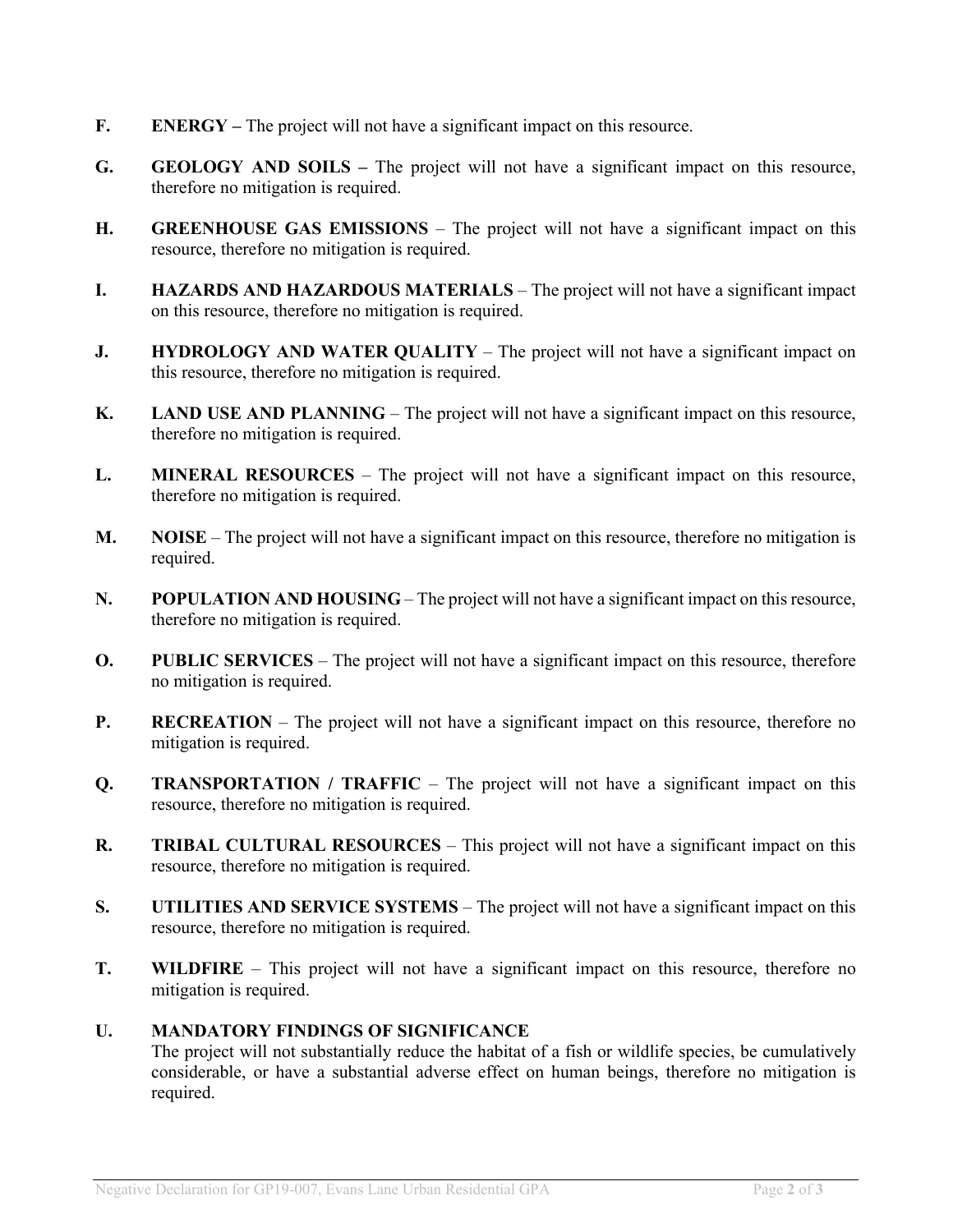- **F. ENERGY** The project will not have a significant impact on this resource.
- **G.** GEOLOGY AND SOILS The project will not have a significant impact on this resource, therefore no mitigation is required.
- **H. GREENHOUSE GAS EMISSIONS** The project will not have a significant impact on this resource, therefore no mitigation is required.
- **I.** HAZARDS AND HAZARDOUS MATERIALS The project will not have a significant impact on this resource, therefore no mitigation is required.
- **J.** HYDROLOGY AND WATER QUALITY The project will not have a significant impact on this resource, therefore no mitigation is required.
- **K.** LAND USE AND PLANNING The project will not have a significant impact on this resource, therefore no mitigation is required.
- **L. MINERAL RESOURCES**  The project will not have a significant impact on this resource, therefore no mitigation is required.
- **M. NOISE**  The project will not have a significant impact on this resource, therefore no mitigation is required.
- **N.** POPULATION AND HOUSING The project will not have a significant impact on this resource, therefore no mitigation is required.
- **O.** PUBLIC SERVICES The project will not have a significant impact on this resource, therefore no mitigation is required.
- **P.** RECREATION The project will not have a significant impact on this resource, therefore no mitigation is required.
- **Q. TRANSPORTATION** / **TRAFFIC** The project will not have a significant impact on this resource, therefore no mitigation is required.
- **R. TRIBAL CULTURAL RESOURCES**  This project will not have a significant impact on this resource, therefore no mitigation is required.
- **S. UTILITIES AND SERVICE SYSTEMS**  The project will not have a significant impact on this resource, therefore no mitigation is required.
- **T. WILDFIRE**  This project will not have a significant impact on this resource, therefore no mitigation is required.

#### **U. MANDATORY FINDINGS OF SIGNIFICANCE**

The project will not substantially reduce the habitat of a fish or wildlife species, be cumulatively considerable, or have a substantial adverse effect on human beings, therefore no mitigation is required.